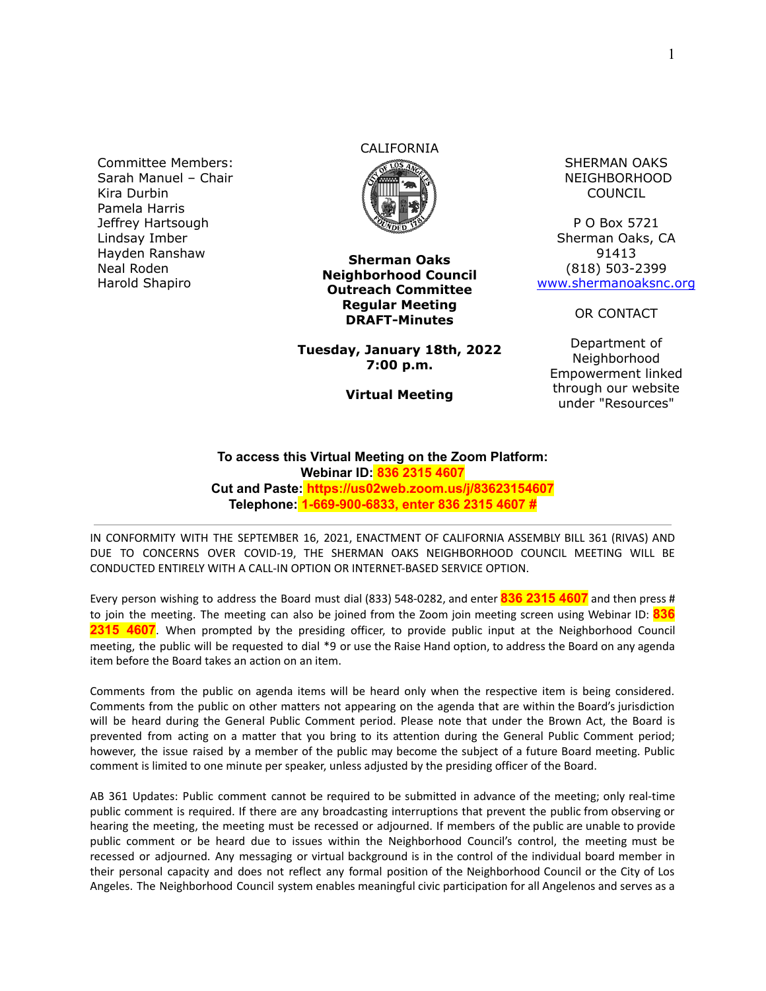Committee Members: Sarah Manuel – Chair Kira Durbin Pamela Harris Jeffrey Hartsough Lindsay Imber Hayden Ranshaw Neal Roden Harold Shapiro

# CALIFORNIA



**Sherman Oaks Neighborhood Council Outreach Committee Regular Meeting DRAFT-Minutes**

**Tuesday, January 18th, 2022 7:00 p.m.**

**Virtual Meeting**

SHERMAN OAKS NEIGHBORHOOD COUNCIL

P O Box 5721 Sherman Oaks, CA 91413 (818) 503-2399 [www.shermanoaksnc.org](http://www.shermanoaksnc.org/)

OR CONTACT

Department of Neighborhood Empowerment linked through our website under "Resources"

**To access this Virtual Meeting on the Zoom Platform: Webinar ID: 836 2315 4607 Cut and Paste: https://us02web.zoom.us/j/83623154607 Telephone: 1-669-900-6833, enter 836 2315 4607 #**

IN CONFORMITY WITH THE SEPTEMBER 16, 2021, ENACTMENT OF CALIFORNIA ASSEMBLY BILL 361 (RIVAS) AND DUE TO CONCERNS OVER COVID-19, THE SHERMAN OAKS NEIGHBORHOOD COUNCIL MEETING WILL BE CONDUCTED ENTIRELY WITH A CALL-IN OPTION OR INTERNET-BASED SERVICE OPTION.

Every person wishing to address the Board must dial (833) 548-0282, and enter **836 2315 4607** and then press # to join the meeting. The meeting can also be joined from the Zoom join meeting screen using Webinar ID: **836 2315 4607**. When prompted by the presiding officer, to provide public input at the Neighborhood Council meeting, the public will be requested to dial \*9 or use the Raise Hand option, to address the Board on any agenda item before the Board takes an action on an item.

Comments from the public on agenda items will be heard only when the respective item is being considered. Comments from the public on other matters not appearing on the agenda that are within the Board's jurisdiction will be heard during the General Public Comment period. Please note that under the Brown Act, the Board is prevented from acting on a matter that you bring to its attention during the General Public Comment period; however, the issue raised by a member of the public may become the subject of a future Board meeting. Public comment is limited to one minute per speaker, unless adjusted by the presiding officer of the Board.

AB 361 Updates: Public comment cannot be required to be submitted in advance of the meeting; only real-time public comment is required. If there are any broadcasting interruptions that prevent the public from observing or hearing the meeting, the meeting must be recessed or adjourned. If members of the public are unable to provide public comment or be heard due to issues within the Neighborhood Council's control, the meeting must be recessed or adjourned. Any messaging or virtual background is in the control of the individual board member in their personal capacity and does not reflect any formal position of the Neighborhood Council or the City of Los Angeles. The Neighborhood Council system enables meaningful civic participation for all Angelenos and serves as a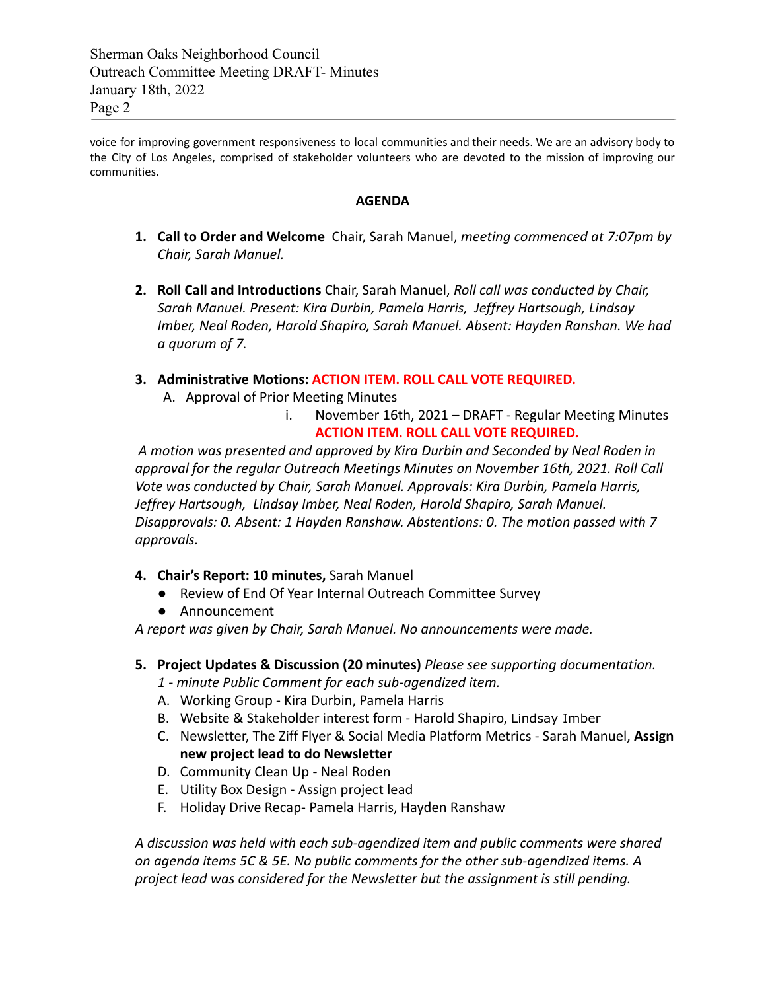voice for improving government responsiveness to local communities and their needs. We are an advisory body to the City of Los Angeles, comprised of stakeholder volunteers who are devoted to the mission of improving our communities.

### **AGENDA**

- **1. Call to Order and Welcome** Chair, Sarah Manuel, *meeting commenced at 7:07pm by Chair, Sarah Manuel.*
- **2. Roll Call and Introductions** Chair, Sarah Manuel, *Roll call was conducted by Chair, Sarah Manuel. Present: Kira Durbin, Pamela Harris, Jeffrey Hartsough, Lindsay Imber, Neal Roden, Harold Shapiro, Sarah Manuel. Absent: Hayden Ranshan. We had a quorum of 7.*

# **3. Administrative Motions: ACTION ITEM. ROLL CALL VOTE REQUIRED.**

- A. Approval of Prior Meeting Minutes
	- i. November 16th, 2021 DRAFT Regular Meeting Minutes **ACTION ITEM. ROLL CALL VOTE REQUIRED.**

*A motion was presented and approved by Kira Durbin and Seconded by Neal Roden in approval for the regular Outreach Meetings Minutes on November 16th, 2021. Roll Call Vote was conducted by Chair, Sarah Manuel. Approvals: Kira Durbin, Pamela Harris, Jeffrey Hartsough, Lindsay Imber, Neal Roden, Harold Shapiro, Sarah Manuel. Disapprovals: 0. Absent: 1 Hayden Ranshaw. Abstentions: 0. The motion passed with 7 approvals.*

# **4. Chair's Report: 10 minutes,** Sarah Manuel

- Review of End Of Year Internal Outreach Committee Survey
- Announcement

*A report was given by Chair, Sarah Manuel. No announcements were made.*

- **5. Project Updates & Discussion (20 minutes)** *Please see supporting documentation.*
	- *1 minute Public Comment for each sub-agendized item.*
	- A. Working Group Kira Durbin, Pamela Harris
	- B. Website & Stakeholder interest form Harold Shapiro, Lindsay Imber
	- C. Newsletter, The Ziff Flyer & Social Media Platform Metrics Sarah Manuel, **Assign new project lead to do Newsletter**
	- D. Community Clean Up Neal Roden
	- E. Utility Box Design Assign project lead
	- F. Holiday Drive Recap- Pamela Harris, Hayden Ranshaw

*A discussion was held with each sub-agendized item and public comments were shared on agenda items 5C & 5E. No public comments for the other sub-agendized items. A project lead was considered for the Newsletter but the assignment is still pending.*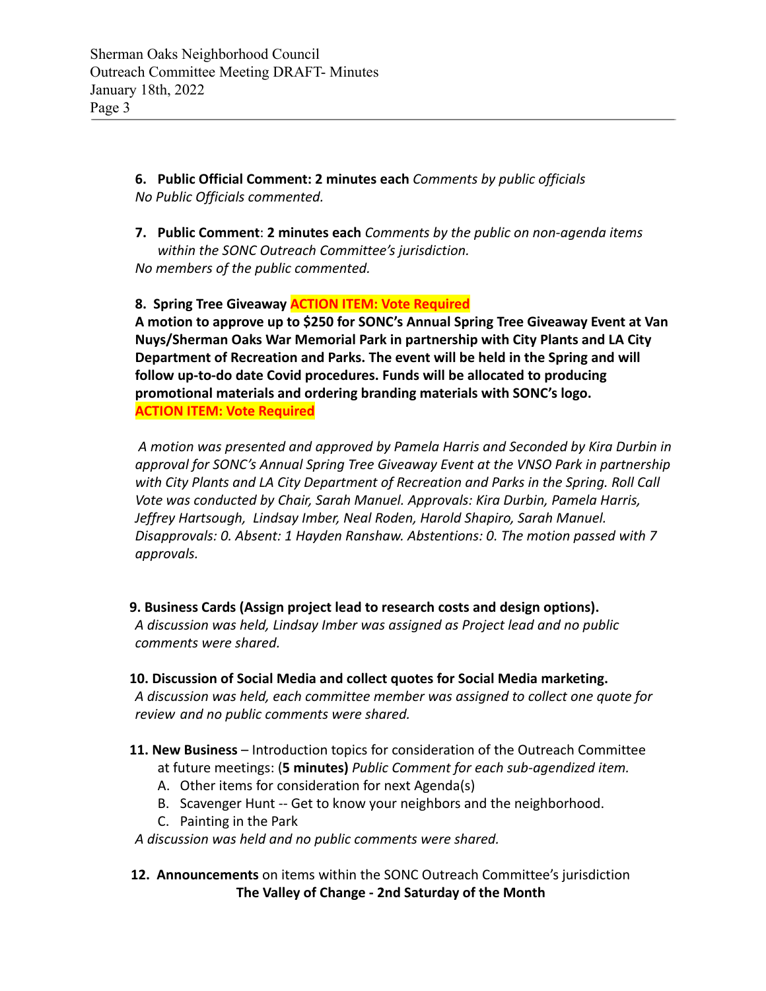**6. Public Official Comment: 2 minutes each** *Comments by public officials No Public Officials commented.*

**7. Public Comment**: **2 minutes each** *Comments by the public on non-agenda items within the SONC Outreach Committee's jurisdiction. No members of the public commented.*

**8. Spring Tree Giveaway ACTION ITEM: Vote Required**

**A motion to approve up to \$250 for SONC's Annual Spring Tree Giveaway Event at Van Nuys/Sherman Oaks War Memorial Park in partnership with City Plants and LA City Department of Recreation and Parks. The event will be held in the Spring and will follow up-to-do date Covid procedures. Funds will be allocated to producing promotional materials and ordering branding materials with SONC's logo. ACTION ITEM: Vote Required**

*A motion was presented and approved by Pamela Harris and Seconded by Kira Durbin in approval for SONC's Annual Spring Tree Giveaway Event at the VNSO Park in partnership with City Plants and LA City Department of Recreation and Parks in the Spring. Roll Call Vote was conducted by Chair, Sarah Manuel. Approvals: Kira Durbin, Pamela Harris, Jeffrey Hartsough, Lindsay Imber, Neal Roden, Harold Shapiro, Sarah Manuel. Disapprovals: 0. Absent: 1 Hayden Ranshaw. Abstentions: 0. The motion passed with 7 approvals.*

**9. Business Cards (Assign project lead to research costs and design options).**

*A discussion was held, Lindsay Imber was assigned as Project lead and no public comments were shared.*

**10. Discussion of Social Media and collect quotes for Social Media marketing.** *A discussion was held, each committee member was assigned to collect one quote for*

*review and no public comments were shared.*

- **11. New Business** Introduction topics for consideration of the Outreach Committee at future meetings: (**5 minutes)** *Public Comment for each sub-agendized item.*
	- A. Other items for consideration for next Agenda(s)
	- B. Scavenger Hunt -- Get to know your neighbors and the neighborhood.
	- C. Painting in the Park

*A discussion was held and no public comments were shared.*

**12. Announcements** on items within the SONC Outreach Committee's jurisdiction **The Valley of Change - 2nd Saturday of the Month**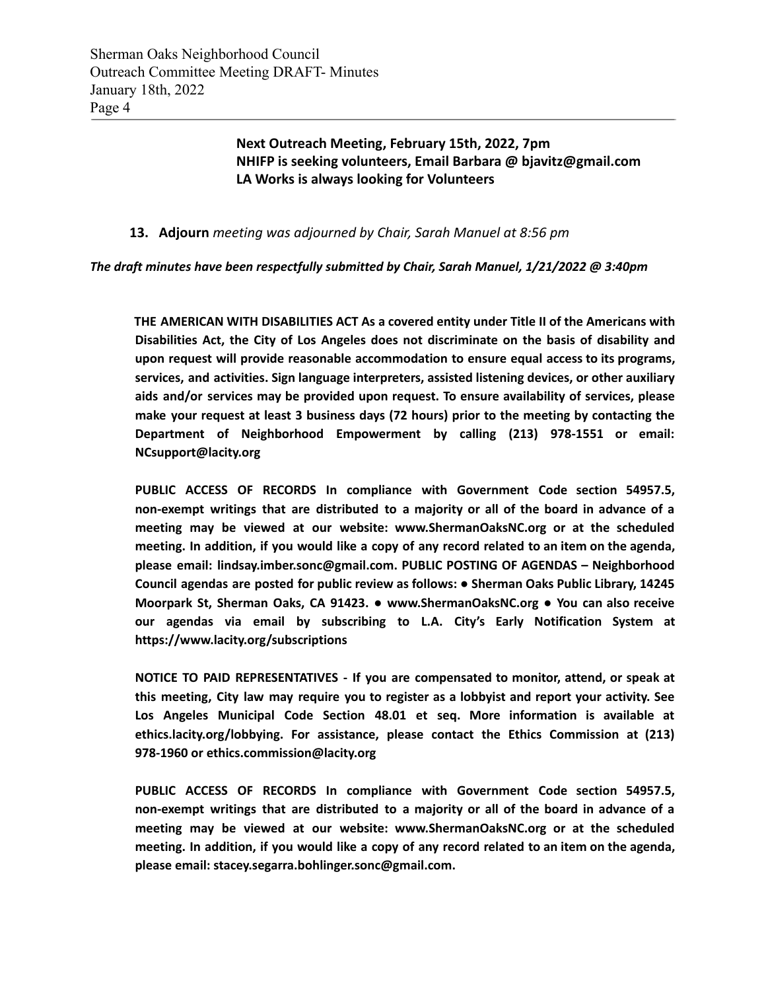**Next Outreach Meeting, February 15th, 2022, 7pm NHIFP is seeking volunteers, Email Barbara @ bjavitz@gmail.com LA Works is always looking for Volunteers**

### **13. Adjourn** *meeting was adjourned by Chair, Sarah Manuel at 8:56 pm*

*The draft minutes have been respectfully submitted by Chair, Sarah Manuel, 1/21/2022 @ 3:40pm*

**THE AMERICAN WITH DISABILITIES ACT As a covered entity under Title II of the Americans with Disabilities Act, the City of Los Angeles does not discriminate on the basis of disability and upon request will provide reasonable accommodation to ensure equal access to its programs, services, and activities. Sign language interpreters, assisted listening devices, or other auxiliary aids and/or services may be provided upon request. To ensure availability of services, please make your request at least 3 business days (72 hours) prior to the meeting by contacting the Department of Neighborhood Empowerment by calling (213) 978-1551 or email: NCsupport@lacity.org**

**PUBLIC ACCESS OF RECORDS In compliance with Government Code section 54957.5, non-exempt writings that are distributed to a majority or all of the board in advance of a meeting may be viewed at our website: www.ShermanOaksNC.org or at the scheduled** meeting. In addition, if you would like a copy of any record related to an item on the agenda, **please email: lindsay.imber.sonc@gmail.com. PUBLIC POSTING OF AGENDAS – Neighborhood Council agendas are posted for public review as follows: ● Sherman Oaks Public Library, 14245 Moorpark St, Sherman Oaks, CA 91423. ● www.ShermanOaksNC.org ● You can also receive our agendas via email by subscribing to L.A. City's Early Notification System at https://www.lacity.org/subscriptions**

**NOTICE TO PAID REPRESENTATIVES - If you are compensated to monitor, attend, or speak at this meeting, City law may require you to register as a lobbyist and report your activity. See Los Angeles Municipal Code Section 48.01 et seq. More information is available at ethics.lacity.org/lobbying. For assistance, please contact the Ethics Commission at (213) 978-1960 or ethics.commission@lacity.org**

**PUBLIC ACCESS OF RECORDS In compliance with Government Code section 54957.5, non-exempt writings that are distributed to a majority or all of the board in advance of a meeting may be viewed at our website: www.ShermanOaksNC.org or at the scheduled** meeting. In addition, if you would like a copy of any record related to an item on the agenda, **please email: stacey.segarra.bohlinger.sonc@gmail.com.**